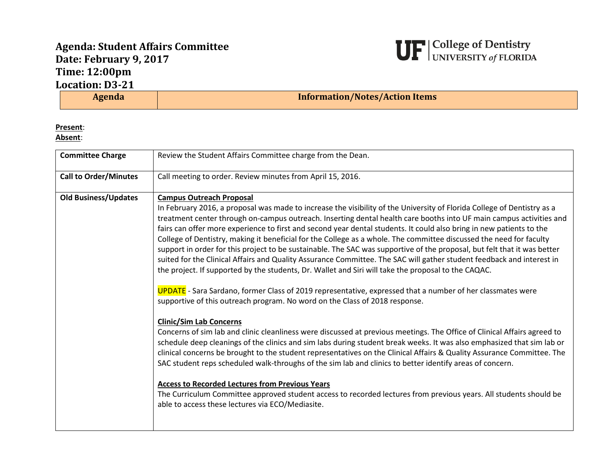## **Agenda: Student Affairs Committee Date: February 9, 2017 Time: 12:00pm Location: D3-21**



| <b>Agenda</b> | <b>Information/Notes/Action Items</b> |
|---------------|---------------------------------------|

## **Present**:

**Absent**:

| <b>Committee Charge</b>      | Review the Student Affairs Committee charge from the Dean.                                                                                                                                                                                                                                                                                                                                                                                                                                                                                                                                                                                                                                                                                                                                                                                                                                                                                                                                                                                                                                                                                                                                                                                                                                                                                                                                                                                                                                                                                                                                                                                                                                                                                                                                                                                                        |
|------------------------------|-------------------------------------------------------------------------------------------------------------------------------------------------------------------------------------------------------------------------------------------------------------------------------------------------------------------------------------------------------------------------------------------------------------------------------------------------------------------------------------------------------------------------------------------------------------------------------------------------------------------------------------------------------------------------------------------------------------------------------------------------------------------------------------------------------------------------------------------------------------------------------------------------------------------------------------------------------------------------------------------------------------------------------------------------------------------------------------------------------------------------------------------------------------------------------------------------------------------------------------------------------------------------------------------------------------------------------------------------------------------------------------------------------------------------------------------------------------------------------------------------------------------------------------------------------------------------------------------------------------------------------------------------------------------------------------------------------------------------------------------------------------------------------------------------------------------------------------------------------------------|
| <b>Call to Order/Minutes</b> | Call meeting to order. Review minutes from April 15, 2016.                                                                                                                                                                                                                                                                                                                                                                                                                                                                                                                                                                                                                                                                                                                                                                                                                                                                                                                                                                                                                                                                                                                                                                                                                                                                                                                                                                                                                                                                                                                                                                                                                                                                                                                                                                                                        |
| <b>Old Business/Updates</b>  | <b>Campus Outreach Proposal</b><br>In February 2016, a proposal was made to increase the visibility of the University of Florida College of Dentistry as a<br>treatment center through on-campus outreach. Inserting dental health care booths into UF main campus activities and<br>fairs can offer more experience to first and second year dental students. It could also bring in new patients to the<br>College of Dentistry, making it beneficial for the College as a whole. The committee discussed the need for faculty<br>support in order for this project to be sustainable. The SAC was supportive of the proposal, but felt that it was better<br>suited for the Clinical Affairs and Quality Assurance Committee. The SAC will gather student feedback and interest in<br>the project. If supported by the students, Dr. Wallet and Siri will take the proposal to the CAQAC.<br><b>UPDATE</b> - Sara Sardano, former Class of 2019 representative, expressed that a number of her classmates were<br>supportive of this outreach program. No word on the Class of 2018 response.<br><b>Clinic/Sim Lab Concerns</b><br>Concerns of sim lab and clinic cleanliness were discussed at previous meetings. The Office of Clinical Affairs agreed to<br>schedule deep cleanings of the clinics and sim labs during student break weeks. It was also emphasized that sim lab or<br>clinical concerns be brought to the student representatives on the Clinical Affairs & Quality Assurance Committee. The<br>SAC student reps scheduled walk-throughs of the sim lab and clinics to better identify areas of concern.<br><b>Access to Recorded Lectures from Previous Years</b><br>The Curriculum Committee approved student access to recorded lectures from previous years. All students should be<br>able to access these lectures via ECO/Mediasite. |
|                              |                                                                                                                                                                                                                                                                                                                                                                                                                                                                                                                                                                                                                                                                                                                                                                                                                                                                                                                                                                                                                                                                                                                                                                                                                                                                                                                                                                                                                                                                                                                                                                                                                                                                                                                                                                                                                                                                   |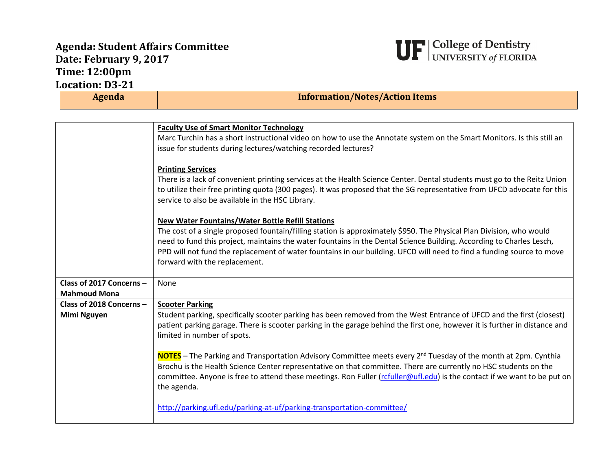## **Agenda: Student Affairs Committee Date: February 9, 2017 Time: 12:00pm Location: D3-21**



| Agenda                                          | <b>Information/Notes/Action Items</b>                                                                                                                                                                                                                                                                                                                                                                                                                             |
|-------------------------------------------------|-------------------------------------------------------------------------------------------------------------------------------------------------------------------------------------------------------------------------------------------------------------------------------------------------------------------------------------------------------------------------------------------------------------------------------------------------------------------|
|                                                 |                                                                                                                                                                                                                                                                                                                                                                                                                                                                   |
|                                                 | <b>Faculty Use of Smart Monitor Technology</b><br>Marc Turchin has a short instructional video on how to use the Annotate system on the Smart Monitors. Is this still an<br>issue for students during lectures/watching recorded lectures?                                                                                                                                                                                                                        |
|                                                 | <b>Printing Services</b><br>There is a lack of convenient printing services at the Health Science Center. Dental students must go to the Reitz Union<br>to utilize their free printing quota (300 pages). It was proposed that the SG representative from UFCD advocate for this<br>service to also be available in the HSC Library.                                                                                                                              |
|                                                 | <b>New Water Fountains/Water Bottle Refill Stations</b><br>The cost of a single proposed fountain/filling station is approximately \$950. The Physical Plan Division, who would<br>need to fund this project, maintains the water fountains in the Dental Science Building. According to Charles Lesch,<br>PPD will not fund the replacement of water fountains in our building. UFCD will need to find a funding source to move<br>forward with the replacement. |
| Class of 2017 Concerns -<br><b>Mahmoud Mona</b> | None                                                                                                                                                                                                                                                                                                                                                                                                                                                              |
| Class of 2018 Concerns -                        | <b>Scooter Parking</b>                                                                                                                                                                                                                                                                                                                                                                                                                                            |
| <b>Mimi Nguyen</b>                              | Student parking, specifically scooter parking has been removed from the West Entrance of UFCD and the first (closest)<br>patient parking garage. There is scooter parking in the garage behind the first one, however it is further in distance and<br>limited in number of spots.                                                                                                                                                                                |
|                                                 | NOTES - The Parking and Transportation Advisory Committee meets every 2 <sup>nd</sup> Tuesday of the month at 2pm. Cynthia<br>Brochu is the Health Science Center representative on that committee. There are currently no HSC students on the<br>committee. Anyone is free to attend these meetings. Ron Fuller (rcfuller@ufl.edu) is the contact if we want to be put on<br>the agenda.                                                                         |
|                                                 | http://parking.ufl.edu/parking-at-uf/parking-transportation-committee/                                                                                                                                                                                                                                                                                                                                                                                            |